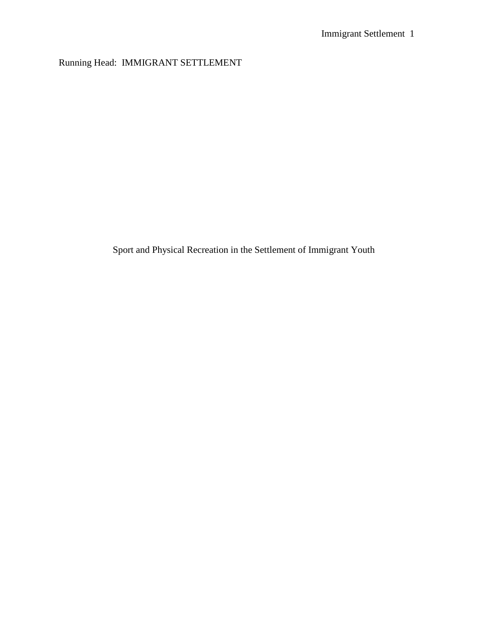Running Head: IMMIGRANT SETTLEMENT

Sport and Physical Recreation in the Settlement of Immigrant Youth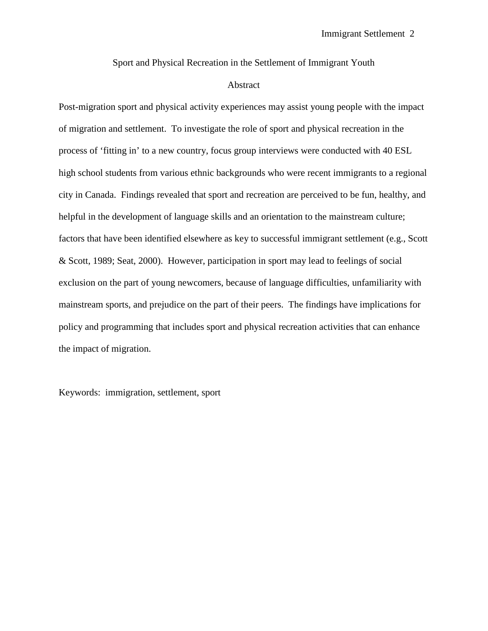Sport and Physical Recreation in the Settlement of Immigrant Youth

#### Abstract

Post-migration sport and physical activity experiences may assist young people with the impact of migration and settlement. To investigate the role of sport and physical recreation in the process of 'fitting in' to a new country, focus group interviews were conducted with 40 ESL high school students from various ethnic backgrounds who were recent immigrants to a regional city in Canada. Findings revealed that sport and recreation are perceived to be fun, healthy, and helpful in the development of language skills and an orientation to the mainstream culture; factors that have been identified elsewhere as key to successful immigrant settlement (e.g., Scott & Scott, 1989; Seat, 2000). However, participation in sport may lead to feelings of social exclusion on the part of young newcomers, because of language difficulties, unfamiliarity with mainstream sports, and prejudice on the part of their peers. The findings have implications for policy and programming that includes sport and physical recreation activities that can enhance the impact of migration.

Keywords: immigration, settlement, sport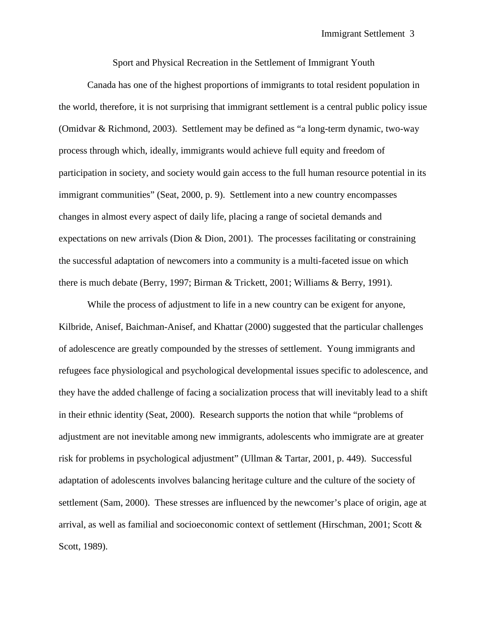Sport and Physical Recreation in the Settlement of Immigrant Youth

Canada has one of the highest proportions of immigrants to total resident population in the world, therefore, it is not surprising that immigrant settlement is a central public policy issue (Omidvar & Richmond, 2003). Settlement may be defined as "a long-term dynamic, two-way process through which, ideally, immigrants would achieve full equity and freedom of participation in society, and society would gain access to the full human resource potential in its immigrant communities" (Seat, 2000, p. 9). Settlement into a new country encompasses changes in almost every aspect of daily life, placing a range of societal demands and expectations on new arrivals (Dion & Dion, 2001). The processes facilitating or constraining the successful adaptation of newcomers into a community is a multi-faceted issue on which there is much debate (Berry, 1997; Birman & Trickett, 2001; Williams & Berry, 1991).

While the process of adjustment to life in a new country can be exigent for anyone, Kilbride, Anisef, Baichman-Anisef, and Khattar (2000) suggested that the particular challenges of adolescence are greatly compounded by the stresses of settlement. Young immigrants and refugees face physiological and psychological developmental issues specific to adolescence, and they have the added challenge of facing a socialization process that will inevitably lead to a shift in their ethnic identity (Seat, 2000). Research supports the notion that while "problems of adjustment are not inevitable among new immigrants, adolescents who immigrate are at greater risk for problems in psychological adjustment" (Ullman & Tartar, 2001, p. 449). Successful adaptation of adolescents involves balancing heritage culture and the culture of the society of settlement (Sam, 2000). These stresses are influenced by the newcomer's place of origin, age at arrival, as well as familial and socioeconomic context of settlement (Hirschman, 2001; Scott & Scott, 1989).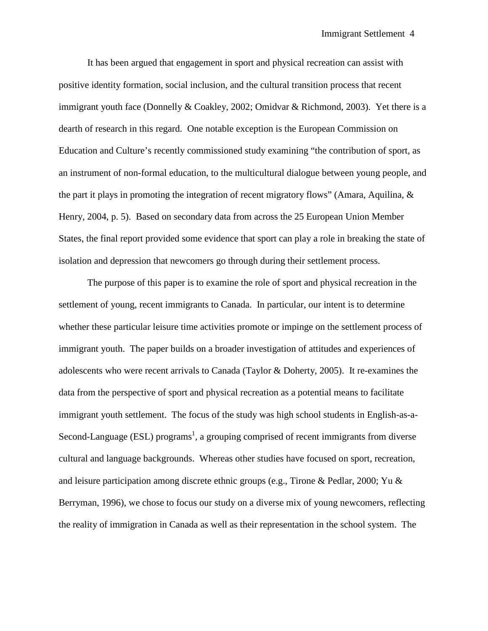It has been argued that engagement in sport and physical recreation can assist with positive identity formation, social inclusion, and the cultural transition process that recent immigrant youth face (Donnelly & Coakley, 2002; Omidvar & Richmond, 2003). Yet there is a dearth of research in this regard. One notable exception is the European Commission on Education and Culture's recently commissioned study examining "the contribution of sport, as an instrument of non-formal education, to the multicultural dialogue between young people, and the part it plays in promoting the integration of recent migratory flows" (Amara, Aquilina, & Henry, 2004, p. 5). Based on secondary data from across the 25 European Union Member States, the final report provided some evidence that sport can play a role in breaking the state of isolation and depression that newcomers go through during their settlement process.

The purpose of this paper is to examine the role of sport and physical recreation in the settlement of young, recent immigrants to Canada. In particular, our intent is to determine whether these particular leisure time activities promote or impinge on the settlement process of immigrant youth. The paper builds on a broader investigation of attitudes and experiences of adolescents who were recent arrivals to Canada (Taylor & Doherty, 2005). It re-examines the data from the perspective of sport and physical recreation as a potential means to facilitate immigrant youth settlement. The focus of the study was high school students in English-as-a-Second-Language (ESL) programs<sup>1</sup>, a grouping comprised of recent immigrants from diverse cultural and language backgrounds. Whereas other studies have focused on sport, recreation, and leisure participation among discrete ethnic groups (e.g., Tirone & Pedlar, 2000; Yu & Berryman, 1996), we chose to focus our study on a diverse mix of young newcomers, reflecting the reality of immigration in Canada as well as their representation in the school system. The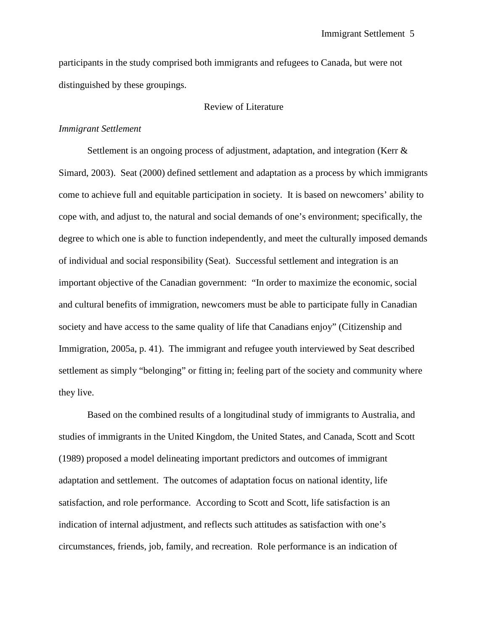participants in the study comprised both immigrants and refugees to Canada, but were not distinguished by these groupings.

# Review of Literature

#### *Immigrant Settlement*

Settlement is an ongoing process of adjustment, adaptation, and integration (Kerr & Simard, 2003). Seat (2000) defined settlement and adaptation as a process by which immigrants come to achieve full and equitable participation in society. It is based on newcomers' ability to cope with, and adjust to, the natural and social demands of one's environment; specifically, the degree to which one is able to function independently, and meet the culturally imposed demands of individual and social responsibility (Seat). Successful settlement and integration is an important objective of the Canadian government: "In order to maximize the economic, social and cultural benefits of immigration, newcomers must be able to participate fully in Canadian society and have access to the same quality of life that Canadians enjoy" (Citizenship and Immigration, 2005a, p. 41). The immigrant and refugee youth interviewed by Seat described settlement as simply "belonging" or fitting in; feeling part of the society and community where they live.

Based on the combined results of a longitudinal study of immigrants to Australia, and studies of immigrants in the United Kingdom, the United States, and Canada, Scott and Scott (1989) proposed a model delineating important predictors and outcomes of immigrant adaptation and settlement. The outcomes of adaptation focus on national identity, life satisfaction, and role performance. According to Scott and Scott, life satisfaction is an indication of internal adjustment, and reflects such attitudes as satisfaction with one's circumstances, friends, job, family, and recreation. Role performance is an indication of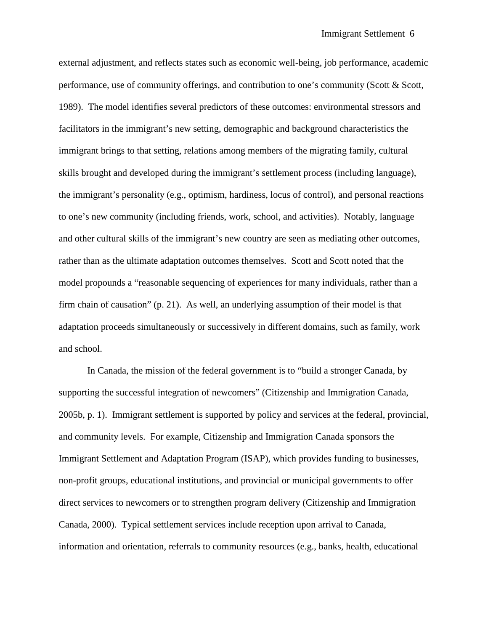external adjustment, and reflects states such as economic well-being, job performance, academic performance, use of community offerings, and contribution to one's community (Scott & Scott, 1989). The model identifies several predictors of these outcomes: environmental stressors and facilitators in the immigrant's new setting, demographic and background characteristics the immigrant brings to that setting, relations among members of the migrating family, cultural skills brought and developed during the immigrant's settlement process (including language), the immigrant's personality (e.g., optimism, hardiness, locus of control), and personal reactions to one's new community (including friends, work, school, and activities). Notably, language and other cultural skills of the immigrant's new country are seen as mediating other outcomes, rather than as the ultimate adaptation outcomes themselves. Scott and Scott noted that the model propounds a "reasonable sequencing of experiences for many individuals, rather than a firm chain of causation" (p. 21). As well, an underlying assumption of their model is that adaptation proceeds simultaneously or successively in different domains, such as family, work and school.

In Canada, the mission of the federal government is to "build a stronger Canada, by supporting the successful integration of newcomers" (Citizenship and Immigration Canada, 2005b, p. 1). Immigrant settlement is supported by policy and services at the federal, provincial, and community levels. For example, Citizenship and Immigration Canada sponsors the Immigrant Settlement and Adaptation Program (ISAP), which provides funding to businesses, non-profit groups, educational institutions, and provincial or municipal governments to offer direct services to newcomers or to strengthen program delivery (Citizenship and Immigration Canada, 2000). Typical settlement services include reception upon arrival to Canada, information and orientation, referrals to community resources (e.g., banks, health, educational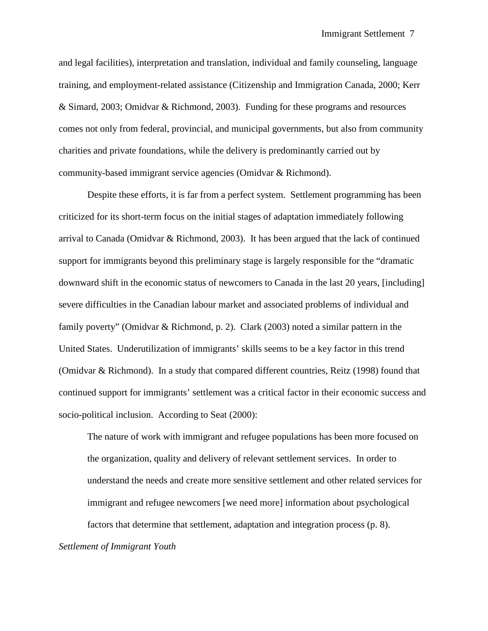and legal facilities), interpretation and translation, individual and family counseling, language training, and employment-related assistance (Citizenship and Immigration Canada, 2000; Kerr & Simard, 2003; Omidvar & Richmond, 2003). Funding for these programs and resources comes not only from federal, provincial, and municipal governments, but also from community charities and private foundations, while the delivery is predominantly carried out by community-based immigrant service agencies (Omidvar & Richmond).

Despite these efforts, it is far from a perfect system. Settlement programming has been criticized for its short-term focus on the initial stages of adaptation immediately following arrival to Canada (Omidvar & Richmond, 2003). It has been argued that the lack of continued support for immigrants beyond this preliminary stage is largely responsible for the "dramatic downward shift in the economic status of newcomers to Canada in the last 20 years, [including] severe difficulties in the Canadian labour market and associated problems of individual and family poverty" (Omidvar & Richmond, p. 2). Clark (2003) noted a similar pattern in the United States. Underutilization of immigrants' skills seems to be a key factor in this trend (Omidvar & Richmond). In a study that compared different countries, Reitz (1998) found that continued support for immigrants' settlement was a critical factor in their economic success and socio-political inclusion. According to Seat (2000):

The nature of work with immigrant and refugee populations has been more focused on the organization, quality and delivery of relevant settlement services. In order to understand the needs and create more sensitive settlement and other related services for immigrant and refugee newcomers [we need more] information about psychological factors that determine that settlement, adaptation and integration process (p. 8).

*Settlement of Immigrant Youth*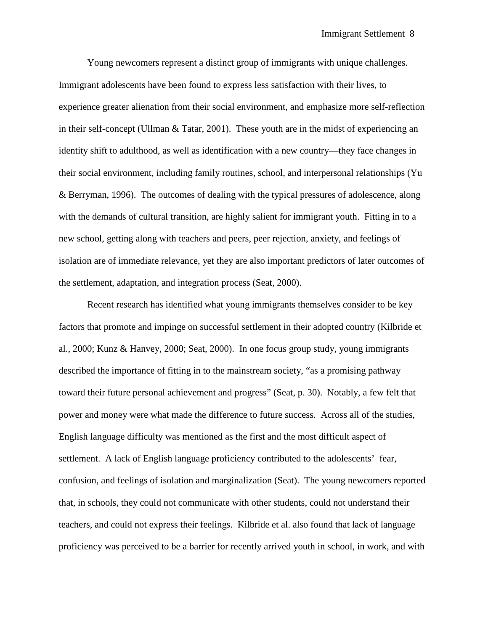Young newcomers represent a distinct group of immigrants with unique challenges. Immigrant adolescents have been found to express less satisfaction with their lives, to experience greater alienation from their social environment, and emphasize more self-reflection in their self-concept (Ullman  $&$  Tatar, 2001). These youth are in the midst of experiencing an identity shift to adulthood, as well as identification with a new country—they face changes in their social environment, including family routines, school, and interpersonal relationships (Yu & Berryman, 1996). The outcomes of dealing with the typical pressures of adolescence, along with the demands of cultural transition, are highly salient for immigrant youth. Fitting in to a new school, getting along with teachers and peers, peer rejection, anxiety, and feelings of isolation are of immediate relevance, yet they are also important predictors of later outcomes of the settlement, adaptation, and integration process (Seat, 2000).

Recent research has identified what young immigrants themselves consider to be key factors that promote and impinge on successful settlement in their adopted country (Kilbride et al., 2000; Kunz & Hanvey, 2000; Seat, 2000). In one focus group study, young immigrants described the importance of fitting in to the mainstream society, "as a promising pathway toward their future personal achievement and progress" (Seat, p. 30). Notably, a few felt that power and money were what made the difference to future success. Across all of the studies, English language difficulty was mentioned as the first and the most difficult aspect of settlement. A lack of English language proficiency contributed to the adolescents' fear, confusion, and feelings of isolation and marginalization (Seat). The young newcomers reported that, in schools, they could not communicate with other students, could not understand their teachers, and could not express their feelings. Kilbride et al. also found that lack of language proficiency was perceived to be a barrier for recently arrived youth in school, in work, and with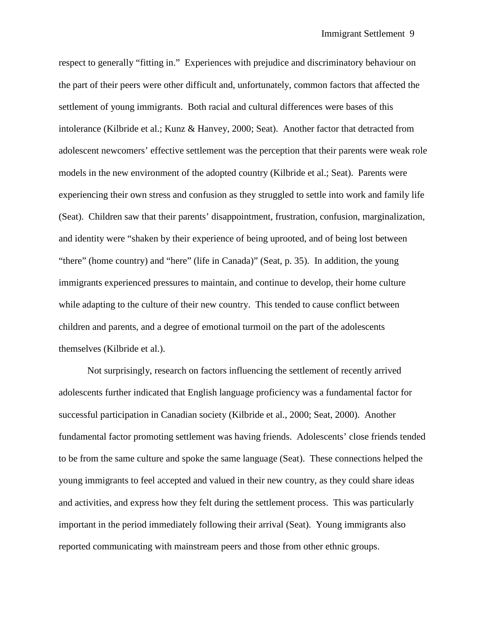respect to generally "fitting in." Experiences with prejudice and discriminatory behaviour on the part of their peers were other difficult and, unfortunately, common factors that affected the settlement of young immigrants. Both racial and cultural differences were bases of this intolerance (Kilbride et al.; Kunz & Hanvey, 2000; Seat). Another factor that detracted from adolescent newcomers' effective settlement was the perception that their parents were weak role models in the new environment of the adopted country (Kilbride et al.; Seat). Parents were experiencing their own stress and confusion as they struggled to settle into work and family life (Seat). Children saw that their parents' disappointment, frustration, confusion, marginalization, and identity were "shaken by their experience of being uprooted, and of being lost between "there" (home country) and "here" (life in Canada)" (Seat, p. 35). In addition, the young immigrants experienced pressures to maintain, and continue to develop, their home culture while adapting to the culture of their new country. This tended to cause conflict between children and parents, and a degree of emotional turmoil on the part of the adolescents themselves (Kilbride et al.).

Not surprisingly, research on factors influencing the settlement of recently arrived adolescents further indicated that English language proficiency was a fundamental factor for successful participation in Canadian society (Kilbride et al., 2000; Seat, 2000). Another fundamental factor promoting settlement was having friends. Adolescents' close friends tended to be from the same culture and spoke the same language (Seat). These connections helped the young immigrants to feel accepted and valued in their new country, as they could share ideas and activities, and express how they felt during the settlement process. This was particularly important in the period immediately following their arrival (Seat). Young immigrants also reported communicating with mainstream peers and those from other ethnic groups.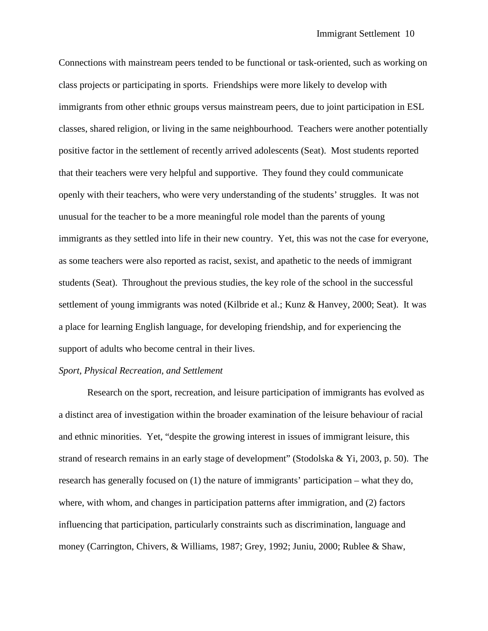Connections with mainstream peers tended to be functional or task-oriented, such as working on class projects or participating in sports. Friendships were more likely to develop with immigrants from other ethnic groups versus mainstream peers, due to joint participation in ESL classes, shared religion, or living in the same neighbourhood. Teachers were another potentially positive factor in the settlement of recently arrived adolescents (Seat). Most students reported that their teachers were very helpful and supportive. They found they could communicate openly with their teachers, who were very understanding of the students' struggles. It was not unusual for the teacher to be a more meaningful role model than the parents of young immigrants as they settled into life in their new country. Yet, this was not the case for everyone, as some teachers were also reported as racist, sexist, and apathetic to the needs of immigrant students (Seat). Throughout the previous studies, the key role of the school in the successful settlement of young immigrants was noted (Kilbride et al.; Kunz & Hanvey, 2000; Seat). It was a place for learning English language, for developing friendship, and for experiencing the support of adults who become central in their lives.

### *Sport, Physical Recreation, and Settlement*

Research on the sport, recreation, and leisure participation of immigrants has evolved as a distinct area of investigation within the broader examination of the leisure behaviour of racial and ethnic minorities. Yet, "despite the growing interest in issues of immigrant leisure, this strand of research remains in an early stage of development" (Stodolska & Yi, 2003, p. 50). The research has generally focused on (1) the nature of immigrants' participation – what they do, where, with whom, and changes in participation patterns after immigration, and (2) factors influencing that participation, particularly constraints such as discrimination, language and money (Carrington, Chivers, & Williams, 1987; Grey, 1992; Juniu, 2000; Rublee & Shaw,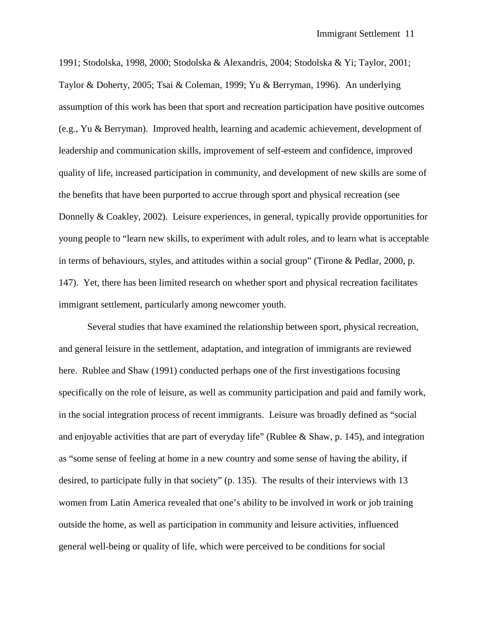1991; Stodolska, 1998, 2000; Stodolska & Alexandris, 2004; Stodolska & Yi; Taylor, 2001; Taylor & Doherty, 2005; Tsai & Coleman, 1999; Yu & Berryman, 1996). An underlying assumption of this work has been that sport and recreation participation have positive outcomes (e.g., Yu & Berryman). Improved health, learning and academic achievement, development of leadership and communication skills, improvement of self-esteem and confidence, improved quality of life, increased participation in community, and development of new skills are some of the benefits that have been purported to accrue through sport and physical recreation (see Donnelly & Coakley, 2002). Leisure experiences, in general, typically provide opportunities for young people to "learn new skills, to experiment with adult roles, and to learn what is acceptable in terms of behaviours, styles, and attitudes within a social group" (Tirone & Pedlar, 2000, p. 147). Yet, there has been limited research on whether sport and physical recreation facilitates immigrant settlement, particularly among newcomer youth.

Several studies that have examined the relationship between sport, physical recreation, and general leisure in the settlement, adaptation, and integration of immigrants are reviewed here. Rublee and Shaw (1991) conducted perhaps one of the first investigations focusing specifically on the role of leisure, as well as community participation and paid and family work, in the social integration process of recent immigrants. Leisure was broadly defined as "social and enjoyable activities that are part of everyday life" (Rublee & Shaw, p. 145), and integration as "some sense of feeling at home in a new country and some sense of having the ability, if desired, to participate fully in that society" (p. 135). The results of their interviews with 13 women from Latin America revealed that one's ability to be involved in work or job training outside the home, as well as participation in community and leisure activities, influenced general well-being or quality of life, which were perceived to be conditions for social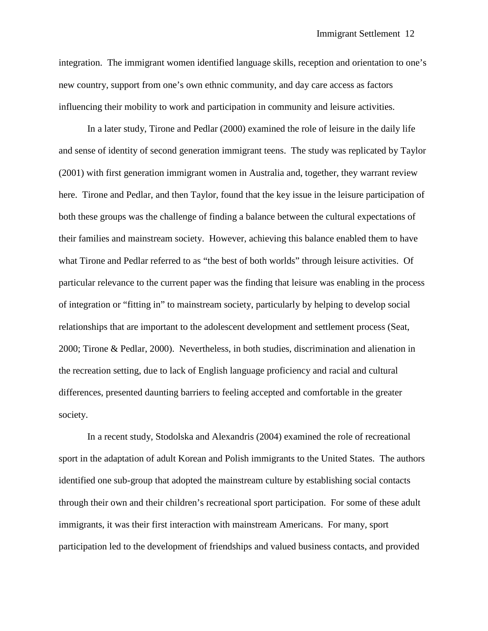integration. The immigrant women identified language skills, reception and orientation to one's new country, support from one's own ethnic community, and day care access as factors influencing their mobility to work and participation in community and leisure activities.

In a later study, Tirone and Pedlar (2000) examined the role of leisure in the daily life and sense of identity of second generation immigrant teens. The study was replicated by Taylor (2001) with first generation immigrant women in Australia and, together, they warrant review here. Tirone and Pedlar, and then Taylor, found that the key issue in the leisure participation of both these groups was the challenge of finding a balance between the cultural expectations of their families and mainstream society. However, achieving this balance enabled them to have what Tirone and Pedlar referred to as "the best of both worlds" through leisure activities. Of particular relevance to the current paper was the finding that leisure was enabling in the process of integration or "fitting in" to mainstream society, particularly by helping to develop social relationships that are important to the adolescent development and settlement process (Seat, 2000; Tirone & Pedlar, 2000). Nevertheless, in both studies, discrimination and alienation in the recreation setting, due to lack of English language proficiency and racial and cultural differences, presented daunting barriers to feeling accepted and comfortable in the greater society.

In a recent study, Stodolska and Alexandris (2004) examined the role of recreational sport in the adaptation of adult Korean and Polish immigrants to the United States. The authors identified one sub-group that adopted the mainstream culture by establishing social contacts through their own and their children's recreational sport participation. For some of these adult immigrants, it was their first interaction with mainstream Americans. For many, sport participation led to the development of friendships and valued business contacts, and provided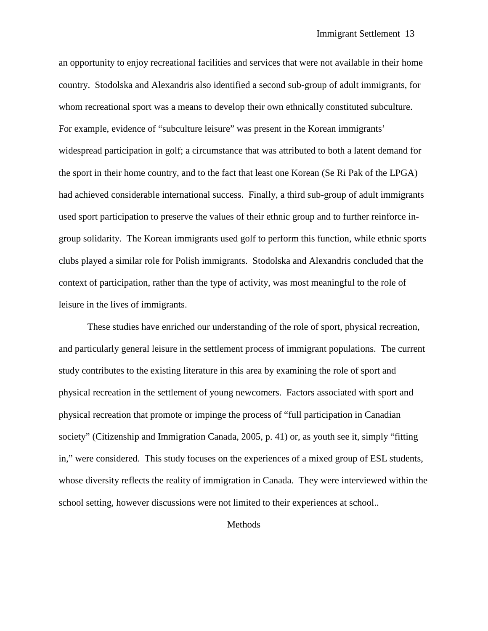an opportunity to enjoy recreational facilities and services that were not available in their home country. Stodolska and Alexandris also identified a second sub-group of adult immigrants, for whom recreational sport was a means to develop their own ethnically constituted subculture. For example, evidence of "subculture leisure" was present in the Korean immigrants' widespread participation in golf; a circumstance that was attributed to both a latent demand for the sport in their home country, and to the fact that least one Korean (Se Ri Pak of the LPGA) had achieved considerable international success. Finally, a third sub-group of adult immigrants used sport participation to preserve the values of their ethnic group and to further reinforce ingroup solidarity. The Korean immigrants used golf to perform this function, while ethnic sports clubs played a similar role for Polish immigrants. Stodolska and Alexandris concluded that the context of participation, rather than the type of activity, was most meaningful to the role of leisure in the lives of immigrants.

These studies have enriched our understanding of the role of sport, physical recreation, and particularly general leisure in the settlement process of immigrant populations. The current study contributes to the existing literature in this area by examining the role of sport and physical recreation in the settlement of young newcomers. Factors associated with sport and physical recreation that promote or impinge the process of "full participation in Canadian society" (Citizenship and Immigration Canada, 2005, p. 41) or, as youth see it, simply "fitting in," were considered. This study focuses on the experiences of a mixed group of ESL students, whose diversity reflects the reality of immigration in Canada. They were interviewed within the school setting, however discussions were not limited to their experiences at school..

Methods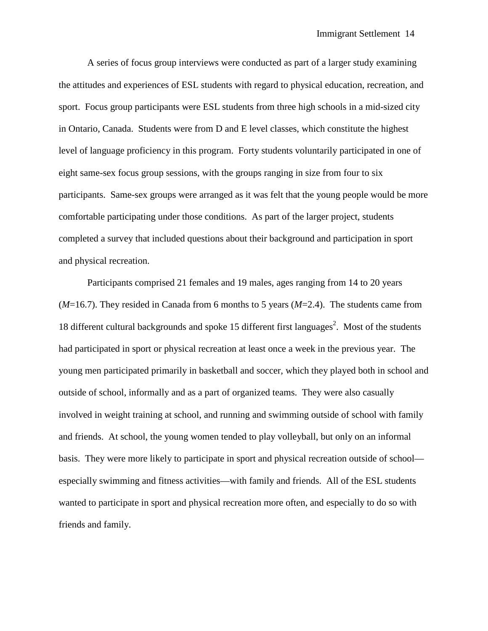A series of focus group interviews were conducted as part of a larger study examining the attitudes and experiences of ESL students with regard to physical education, recreation, and sport. Focus group participants were ESL students from three high schools in a mid-sized city in Ontario, Canada. Students were from D and E level classes, which constitute the highest level of language proficiency in this program. Forty students voluntarily participated in one of eight same-sex focus group sessions, with the groups ranging in size from four to six participants. Same-sex groups were arranged as it was felt that the young people would be more comfortable participating under those conditions. As part of the larger project, students completed a survey that included questions about their background and participation in sport and physical recreation.

Participants comprised 21 females and 19 males, ages ranging from 14 to 20 years (*M*=16.7). They resided in Canada from 6 months to 5 years (*M*=2.4). The students came from 18 different cultural backgrounds and spoke 15 different first languages<sup>2</sup>. Most of the students had participated in sport or physical recreation at least once a week in the previous year. The young men participated primarily in basketball and soccer, which they played both in school and outside of school, informally and as a part of organized teams. They were also casually involved in weight training at school, and running and swimming outside of school with family and friends. At school, the young women tended to play volleyball, but only on an informal basis. They were more likely to participate in sport and physical recreation outside of school especially swimming and fitness activities—with family and friends. All of the ESL students wanted to participate in sport and physical recreation more often, and especially to do so with friends and family.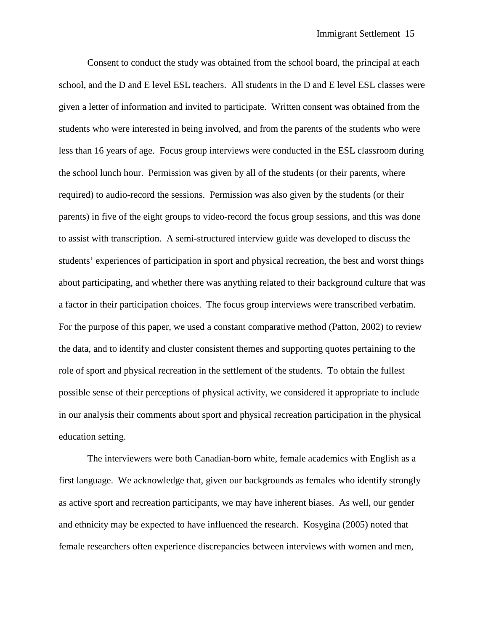Consent to conduct the study was obtained from the school board, the principal at each school, and the D and E level ESL teachers. All students in the D and E level ESL classes were given a letter of information and invited to participate. Written consent was obtained from the students who were interested in being involved, and from the parents of the students who were less than 16 years of age. Focus group interviews were conducted in the ESL classroom during the school lunch hour. Permission was given by all of the students (or their parents, where required) to audio-record the sessions. Permission was also given by the students (or their parents) in five of the eight groups to video-record the focus group sessions, and this was done to assist with transcription. A semi-structured interview guide was developed to discuss the students' experiences of participation in sport and physical recreation, the best and worst things about participating, and whether there was anything related to their background culture that was a factor in their participation choices. The focus group interviews were transcribed verbatim. For the purpose of this paper, we used a constant comparative method (Patton, 2002) to review the data, and to identify and cluster consistent themes and supporting quotes pertaining to the role of sport and physical recreation in the settlement of the students. To obtain the fullest possible sense of their perceptions of physical activity, we considered it appropriate to include in our analysis their comments about sport and physical recreation participation in the physical education setting.

The interviewers were both Canadian-born white, female academics with English as a first language. We acknowledge that, given our backgrounds as females who identify strongly as active sport and recreation participants, we may have inherent biases. As well, our gender and ethnicity may be expected to have influenced the research. Kosygina (2005) noted that female researchers often experience discrepancies between interviews with women and men,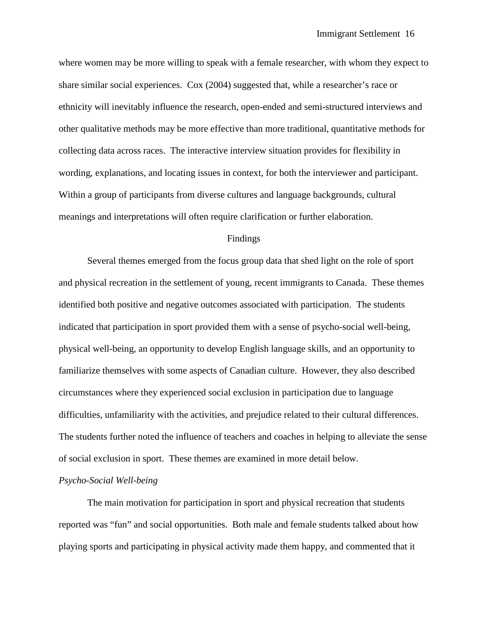where women may be more willing to speak with a female researcher, with whom they expect to share similar social experiences. Cox (2004) suggested that, while a researcher's race or ethnicity will inevitably influence the research, open-ended and semi-structured interviews and other qualitative methods may be more effective than more traditional, quantitative methods for collecting data across races. The interactive interview situation provides for flexibility in wording, explanations, and locating issues in context, for both the interviewer and participant. Within a group of participants from diverse cultures and language backgrounds, cultural meanings and interpretations will often require clarification or further elaboration.

# Findings

Several themes emerged from the focus group data that shed light on the role of sport and physical recreation in the settlement of young, recent immigrants to Canada. These themes identified both positive and negative outcomes associated with participation. The students indicated that participation in sport provided them with a sense of psycho-social well-being, physical well-being, an opportunity to develop English language skills, and an opportunity to familiarize themselves with some aspects of Canadian culture. However, they also described circumstances where they experienced social exclusion in participation due to language difficulties, unfamiliarity with the activities, and prejudice related to their cultural differences. The students further noted the influence of teachers and coaches in helping to alleviate the sense of social exclusion in sport. These themes are examined in more detail below.

### *Psycho-Social Well-being*

The main motivation for participation in sport and physical recreation that students reported was "fun" and social opportunities. Both male and female students talked about how playing sports and participating in physical activity made them happy, and commented that it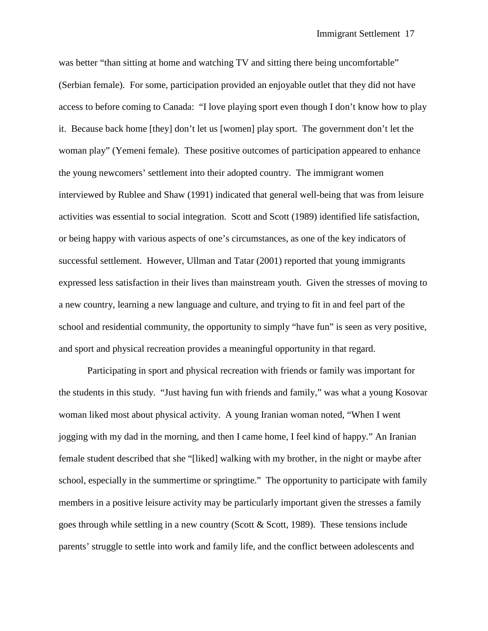was better "than sitting at home and watching TV and sitting there being uncomfortable" (Serbian female). For some, participation provided an enjoyable outlet that they did not have access to before coming to Canada: "I love playing sport even though I don't know how to play it. Because back home [they] don't let us [women] play sport. The government don't let the woman play" (Yemeni female). These positive outcomes of participation appeared to enhance the young newcomers' settlement into their adopted country. The immigrant women interviewed by Rublee and Shaw (1991) indicated that general well-being that was from leisure activities was essential to social integration. Scott and Scott (1989) identified life satisfaction, or being happy with various aspects of one's circumstances, as one of the key indicators of successful settlement. However, Ullman and Tatar (2001) reported that young immigrants expressed less satisfaction in their lives than mainstream youth. Given the stresses of moving to a new country, learning a new language and culture, and trying to fit in and feel part of the school and residential community, the opportunity to simply "have fun" is seen as very positive, and sport and physical recreation provides a meaningful opportunity in that regard.

Participating in sport and physical recreation with friends or family was important for the students in this study. "Just having fun with friends and family," was what a young Kosovar woman liked most about physical activity. A young Iranian woman noted, "When I went jogging with my dad in the morning, and then I came home, I feel kind of happy." An Iranian female student described that she "[liked] walking with my brother, in the night or maybe after school, especially in the summertime or springtime." The opportunity to participate with family members in a positive leisure activity may be particularly important given the stresses a family goes through while settling in a new country (Scott & Scott, 1989). These tensions include parents' struggle to settle into work and family life, and the conflict between adolescents and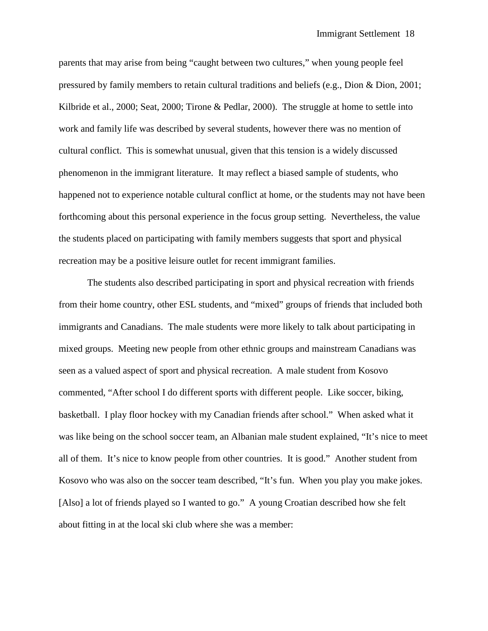parents that may arise from being "caught between two cultures," when young people feel pressured by family members to retain cultural traditions and beliefs (e.g., Dion & Dion, 2001; Kilbride et al., 2000; Seat, 2000; Tirone & Pedlar, 2000). The struggle at home to settle into work and family life was described by several students, however there was no mention of cultural conflict. This is somewhat unusual, given that this tension is a widely discussed phenomenon in the immigrant literature. It may reflect a biased sample of students, who happened not to experience notable cultural conflict at home, or the students may not have been forthcoming about this personal experience in the focus group setting. Nevertheless, the value the students placed on participating with family members suggests that sport and physical recreation may be a positive leisure outlet for recent immigrant families.

The students also described participating in sport and physical recreation with friends from their home country, other ESL students, and "mixed" groups of friends that included both immigrants and Canadians. The male students were more likely to talk about participating in mixed groups. Meeting new people from other ethnic groups and mainstream Canadians was seen as a valued aspect of sport and physical recreation. A male student from Kosovo commented, "After school I do different sports with different people. Like soccer, biking, basketball. I play floor hockey with my Canadian friends after school." When asked what it was like being on the school soccer team, an Albanian male student explained, "It's nice to meet all of them. It's nice to know people from other countries. It is good." Another student from Kosovo who was also on the soccer team described, "It's fun. When you play you make jokes. [Also] a lot of friends played so I wanted to go." A young Croatian described how she felt about fitting in at the local ski club where she was a member: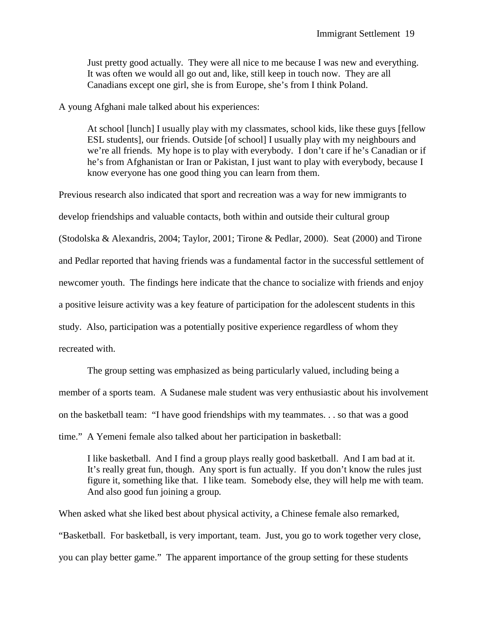Just pretty good actually. They were all nice to me because I was new and everything. It was often we would all go out and, like, still keep in touch now. They are all Canadians except one girl, she is from Europe, she's from I think Poland.

A young Afghani male talked about his experiences:

At school [lunch] I usually play with my classmates, school kids, like these guys [fellow ESL students], our friends. Outside [of school] I usually play with my neighbours and we're all friends. My hope is to play with everybody. I don't care if he's Canadian or if he's from Afghanistan or Iran or Pakistan, I just want to play with everybody, because I know everyone has one good thing you can learn from them.

Previous research also indicated that sport and recreation was a way for new immigrants to develop friendships and valuable contacts, both within and outside their cultural group (Stodolska & Alexandris, 2004; Taylor, 2001; Tirone & Pedlar, 2000). Seat (2000) and Tirone and Pedlar reported that having friends was a fundamental factor in the successful settlement of newcomer youth. The findings here indicate that the chance to socialize with friends and enjoy a positive leisure activity was a key feature of participation for the adolescent students in this study. Also, participation was a potentially positive experience regardless of whom they recreated with.

The group setting was emphasized as being particularly valued, including being a member of a sports team. A Sudanese male student was very enthusiastic about his involvement on the basketball team: "I have good friendships with my teammates. . . so that was a good time." A Yemeni female also talked about her participation in basketball:

I like basketball. And I find a group plays really good basketball. And I am bad at it. It's really great fun, though. Any sport is fun actually. If you don't know the rules just figure it, something like that. I like team. Somebody else, they will help me with team. And also good fun joining a group*.* 

When asked what she liked best about physical activity, a Chinese female also remarked, "Basketball. For basketball, is very important, team. Just, you go to work together very close, you can play better game." The apparent importance of the group setting for these students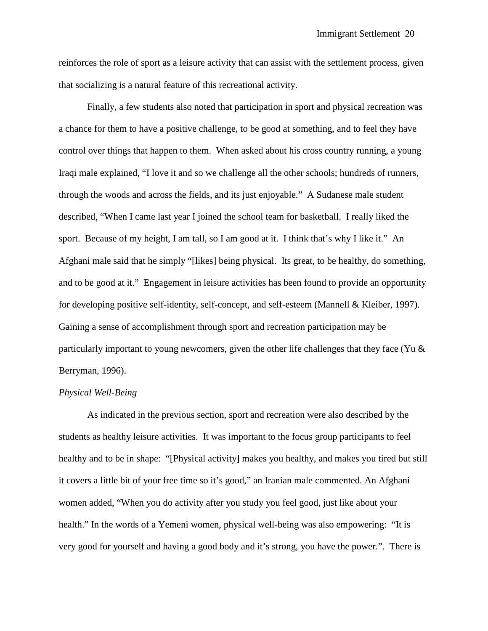reinforces the role of sport as a leisure activity that can assist with the settlement process, given that socializing is a natural feature of this recreational activity.

Finally, a few students also noted that participation in sport and physical recreation was a chance for them to have a positive challenge, to be good at something, and to feel they have control over things that happen to them. When asked about his cross country running, a young Iraqi male explained, "I love it and so we challenge all the other schools; hundreds of runners, through the woods and across the fields, and its just enjoyable." A Sudanese male student described, "When I came last year I joined the school team for basketball. I really liked the sport. Because of my height, I am tall, so I am good at it. I think that's why I like it." An Afghani male said that he simply "[likes] being physical. Its great, to be healthy, do something, and to be good at it." Engagement in leisure activities has been found to provide an opportunity for developing positive self-identity, self-concept, and self-esteem (Mannell & Kleiber, 1997). Gaining a sense of accomplishment through sport and recreation participation may be particularly important to young newcomers, given the other life challenges that they face (Yu & Berryman, 1996).

### *Physical Well-Being*

As indicated in the previous section, sport and recreation were also described by the students as healthy leisure activities. It was important to the focus group participants to feel healthy and to be in shape: "[Physical activity] makes you healthy, and makes you tired but still it covers a little bit of your free time so it's good," an Iranian male commented. An Afghani women added, "When you do activity after you study you feel good, just like about your health." In the words of a Yemeni women, physical well-being was also empowering: "It is very good for yourself and having a good body and it's strong, you have the power.". There is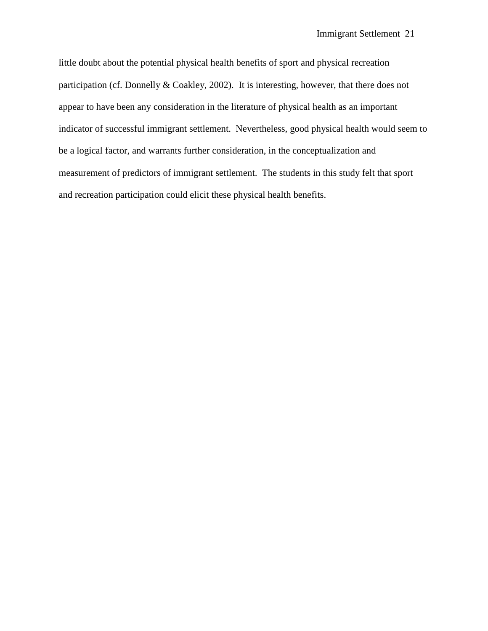little doubt about the potential physical health benefits of sport and physical recreation participation (cf. Donnelly & Coakley, 2002). It is interesting, however, that there does not appear to have been any consideration in the literature of physical health as an important indicator of successful immigrant settlement. Nevertheless, good physical health would seem to be a logical factor, and warrants further consideration, in the conceptualization and measurement of predictors of immigrant settlement. The students in this study felt that sport and recreation participation could elicit these physical health benefits.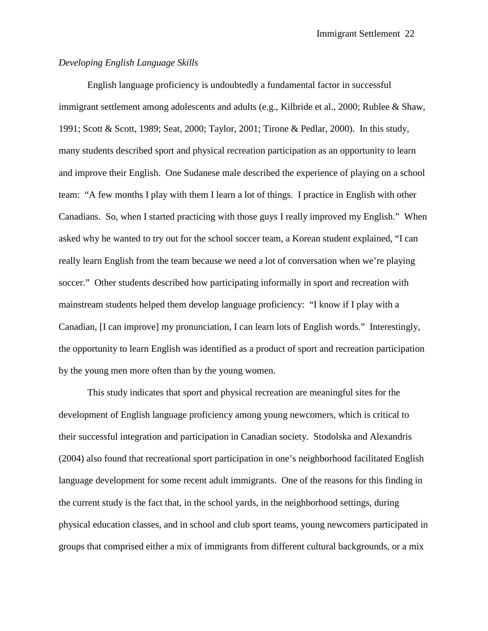# *Developing English Language Skills*

English language proficiency is undoubtedly a fundamental factor in successful immigrant settlement among adolescents and adults (e.g., Kilbride et al., 2000; Rublee & Shaw, 1991; Scott & Scott, 1989; Seat, 2000; Taylor, 2001; Tirone & Pedlar, 2000). In this study, many students described sport and physical recreation participation as an opportunity to learn and improve their English. One Sudanese male described the experience of playing on a school team: "A few months I play with them I learn a lot of things. I practice in English with other Canadians. So, when I started practicing with those guys I really improved my English." When asked why he wanted to try out for the school soccer team, a Korean student explained, "I can really learn English from the team because we need a lot of conversation when we're playing soccer." Other students described how participating informally in sport and recreation with mainstream students helped them develop language proficiency: "I know if I play with a Canadian, [I can improve] my pronunciation, I can learn lots of English words." Interestingly, the opportunity to learn English was identified as a product of sport and recreation participation by the young men more often than by the young women.

This study indicates that sport and physical recreation are meaningful sites for the development of English language proficiency among young newcomers, which is critical to their successful integration and participation in Canadian society. Stodolska and Alexandris (2004) also found that recreational sport participation in one's neighborhood facilitated English language development for some recent adult immigrants. One of the reasons for this finding in the current study is the fact that, in the school yards, in the neighborhood settings, during physical education classes, and in school and club sport teams, young newcomers participated in groups that comprised either a mix of immigrants from different cultural backgrounds, or a mix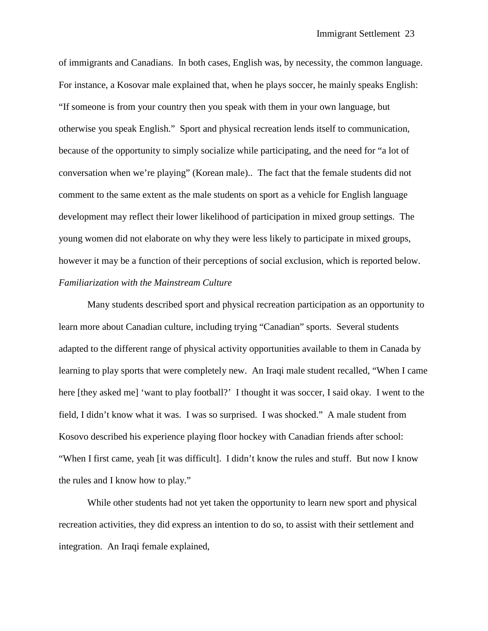of immigrants and Canadians. In both cases, English was, by necessity, the common language. For instance, a Kosovar male explained that, when he plays soccer, he mainly speaks English: "If someone is from your country then you speak with them in your own language, but otherwise you speak English." Sport and physical recreation lends itself to communication, because of the opportunity to simply socialize while participating, and the need for "a lot of conversation when we're playing" (Korean male).. The fact that the female students did not comment to the same extent as the male students on sport as a vehicle for English language development may reflect their lower likelihood of participation in mixed group settings. The young women did not elaborate on why they were less likely to participate in mixed groups, however it may be a function of their perceptions of social exclusion, which is reported below. *Familiarization with the Mainstream Culture*

Many students described sport and physical recreation participation as an opportunity to learn more about Canadian culture, including trying "Canadian" sports. Several students adapted to the different range of physical activity opportunities available to them in Canada by learning to play sports that were completely new. An Iraqi male student recalled, "When I came here [they asked me] 'want to play football?' I thought it was soccer, I said okay. I went to the field, I didn't know what it was. I was so surprised. I was shocked." A male student from Kosovo described his experience playing floor hockey with Canadian friends after school: "When I first came, yeah [it was difficult]. I didn't know the rules and stuff. But now I know the rules and I know how to play."

While other students had not yet taken the opportunity to learn new sport and physical recreation activities, they did express an intention to do so, to assist with their settlement and integration. An Iraqi female explained,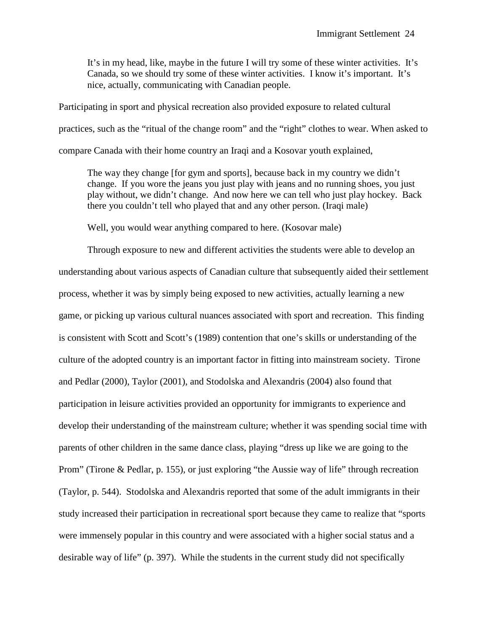It's in my head, like, maybe in the future I will try some of these winter activities. It's Canada, so we should try some of these winter activities. I know it's important. It's nice, actually, communicating with Canadian people.

Participating in sport and physical recreation also provided exposure to related cultural practices, such as the "ritual of the change room" and the "right" clothes to wear. When asked to compare Canada with their home country an Iraqi and a Kosovar youth explained,

The way they change [for gym and sports], because back in my country we didn't change. If you wore the jeans you just play with jeans and no running shoes, you just play without, we didn't change. And now here we can tell who just play hockey. Back there you couldn't tell who played that and any other person. (Iraqi male)

Well, you would wear anything compared to here. (Kosovar male)

Through exposure to new and different activities the students were able to develop an understanding about various aspects of Canadian culture that subsequently aided their settlement process, whether it was by simply being exposed to new activities, actually learning a new game, or picking up various cultural nuances associated with sport and recreation. This finding is consistent with Scott and Scott's (1989) contention that one's skills or understanding of the culture of the adopted country is an important factor in fitting into mainstream society. Tirone and Pedlar (2000), Taylor (2001), and Stodolska and Alexandris (2004) also found that participation in leisure activities provided an opportunity for immigrants to experience and develop their understanding of the mainstream culture; whether it was spending social time with parents of other children in the same dance class, playing "dress up like we are going to the Prom" (Tirone & Pedlar, p. 155), or just exploring "the Aussie way of life" through recreation (Taylor, p. 544). Stodolska and Alexandris reported that some of the adult immigrants in their study increased their participation in recreational sport because they came to realize that "sports were immensely popular in this country and were associated with a higher social status and a desirable way of life" (p. 397). While the students in the current study did not specifically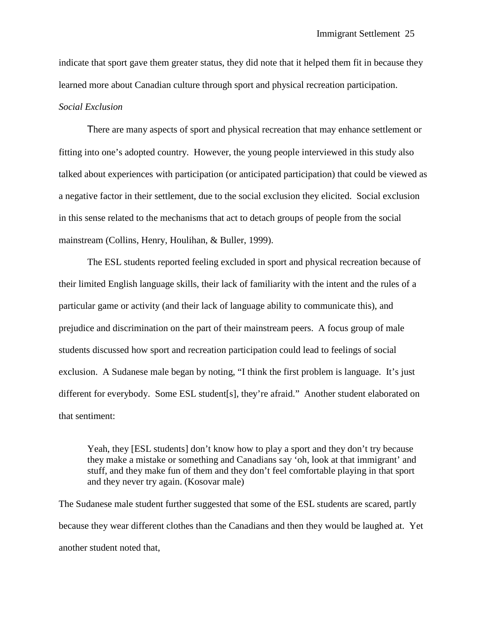indicate that sport gave them greater status, they did note that it helped them fit in because they learned more about Canadian culture through sport and physical recreation participation. *Social Exclusion*

There are many aspects of sport and physical recreation that may enhance settlement or fitting into one's adopted country. However, the young people interviewed in this study also talked about experiences with participation (or anticipated participation) that could be viewed as a negative factor in their settlement, due to the social exclusion they elicited. Social exclusion in this sense related to the mechanisms that act to detach groups of people from the social mainstream (Collins, Henry, Houlihan, & Buller, 1999).

The ESL students reported feeling excluded in sport and physical recreation because of their limited English language skills, their lack of familiarity with the intent and the rules of a particular game or activity (and their lack of language ability to communicate this), and prejudice and discrimination on the part of their mainstream peers. A focus group of male students discussed how sport and recreation participation could lead to feelings of social exclusion. A Sudanese male began by noting, "I think the first problem is language. It's just different for everybody. Some ESL student[s], they're afraid." Another student elaborated on that sentiment:

Yeah, they [ESL students] don't know how to play a sport and they don't try because they make a mistake or something and Canadians say 'oh, look at that immigrant' and stuff, and they make fun of them and they don't feel comfortable playing in that sport and they never try again. (Kosovar male)

The Sudanese male student further suggested that some of the ESL students are scared, partly because they wear different clothes than the Canadians and then they would be laughed at. Yet another student noted that,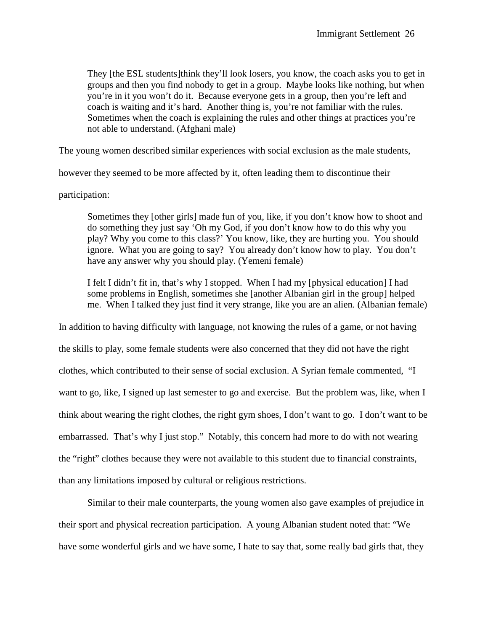They [the ESL students]think they'll look losers, you know, the coach asks you to get in groups and then you find nobody to get in a group. Maybe looks like nothing, but when you're in it you won't do it. Because everyone gets in a group, then you're left and coach is waiting and it's hard. Another thing is, you're not familiar with the rules. Sometimes when the coach is explaining the rules and other things at practices you're not able to understand. (Afghani male)

The young women described similar experiences with social exclusion as the male students,

however they seemed to be more affected by it, often leading them to discontinue their

# participation:

Sometimes they [other girls] made fun of you, like, if you don't know how to shoot and do something they just say 'Oh my God, if you don't know how to do this why you play? Why you come to this class?' You know, like, they are hurting you. You should ignore. What you are going to say? You already don't know how to play. You don't have any answer why you should play. (Yemeni female)

I felt I didn't fit in, that's why I stopped. When I had my [physical education] I had some problems in English, sometimes she [another Albanian girl in the group] helped me. When I talked they just find it very strange, like you are an alien. (Albanian female)

In addition to having difficulty with language, not knowing the rules of a game, or not having the skills to play, some female students were also concerned that they did not have the right clothes, which contributed to their sense of social exclusion. A Syrian female commented, "I want to go, like, I signed up last semester to go and exercise. But the problem was, like, when I think about wearing the right clothes, the right gym shoes, I don't want to go. I don't want to be embarrassed. That's why I just stop." Notably, this concern had more to do with not wearing the "right" clothes because they were not available to this student due to financial constraints, than any limitations imposed by cultural or religious restrictions.

Similar to their male counterparts, the young women also gave examples of prejudice in their sport and physical recreation participation. A young Albanian student noted that: "We have some wonderful girls and we have some, I hate to say that, some really bad girls that, they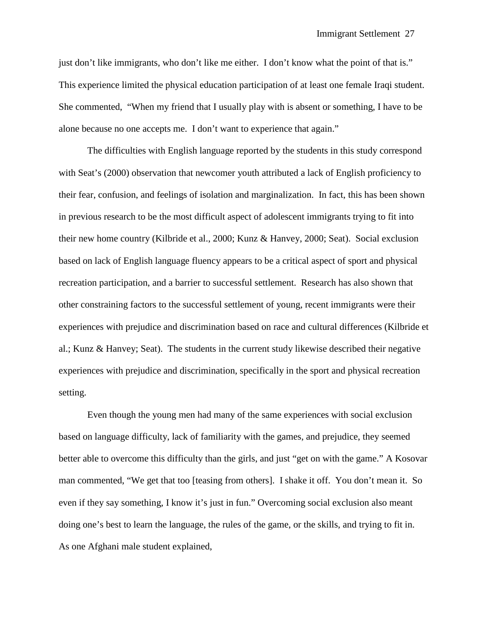just don't like immigrants, who don't like me either. I don't know what the point of that is." This experience limited the physical education participation of at least one female Iraqi student. She commented, "When my friend that I usually play with is absent or something, I have to be alone because no one accepts me. I don't want to experience that again."

The difficulties with English language reported by the students in this study correspond with Seat's (2000) observation that newcomer youth attributed a lack of English proficiency to their fear, confusion, and feelings of isolation and marginalization. In fact, this has been shown in previous research to be the most difficult aspect of adolescent immigrants trying to fit into their new home country (Kilbride et al., 2000; Kunz & Hanvey, 2000; Seat). Social exclusion based on lack of English language fluency appears to be a critical aspect of sport and physical recreation participation, and a barrier to successful settlement. Research has also shown that other constraining factors to the successful settlement of young, recent immigrants were their experiences with prejudice and discrimination based on race and cultural differences (Kilbride et al.; Kunz & Hanvey; Seat). The students in the current study likewise described their negative experiences with prejudice and discrimination, specifically in the sport and physical recreation setting.

Even though the young men had many of the same experiences with social exclusion based on language difficulty, lack of familiarity with the games, and prejudice, they seemed better able to overcome this difficulty than the girls, and just "get on with the game." A Kosovar man commented, "We get that too [teasing from others]. I shake it off. You don't mean it. So even if they say something, I know it's just in fun." Overcoming social exclusion also meant doing one's best to learn the language, the rules of the game, or the skills, and trying to fit in. As one Afghani male student explained,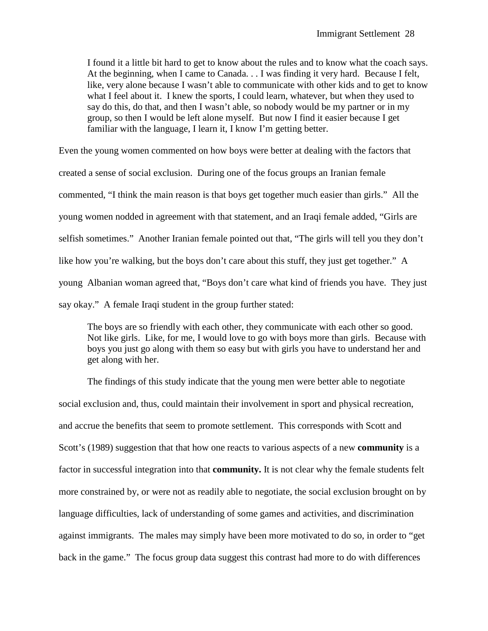I found it a little bit hard to get to know about the rules and to know what the coach says. At the beginning, when I came to Canada. . . I was finding it very hard. Because I felt, like, very alone because I wasn't able to communicate with other kids and to get to know what I feel about it. I knew the sports, I could learn, whatever, but when they used to say do this, do that, and then I wasn't able, so nobody would be my partner or in my group, so then I would be left alone myself. But now I find it easier because I get familiar with the language, I learn it, I know I'm getting better.

Even the young women commented on how boys were better at dealing with the factors that created a sense of social exclusion. During one of the focus groups an Iranian female commented, "I think the main reason is that boys get together much easier than girls." All the young women nodded in agreement with that statement, and an Iraqi female added, "Girls are selfish sometimes." Another Iranian female pointed out that, "The girls will tell you they don't like how you're walking, but the boys don't care about this stuff, they just get together." A young Albanian woman agreed that, "Boys don't care what kind of friends you have. They just say okay." A female Iraqi student in the group further stated:

The boys are so friendly with each other, they communicate with each other so good. Not like girls. Like, for me, I would love to go with boys more than girls. Because with boys you just go along with them so easy but with girls you have to understand her and get along with her.

The findings of this study indicate that the young men were better able to negotiate social exclusion and, thus, could maintain their involvement in sport and physical recreation, and accrue the benefits that seem to promote settlement. This corresponds with Scott and Scott's (1989) suggestion that that how one reacts to various aspects of a new **community** is a factor in successful integration into that **community.** It is not clear why the female students felt more constrained by, or were not as readily able to negotiate, the social exclusion brought on by language difficulties, lack of understanding of some games and activities, and discrimination against immigrants. The males may simply have been more motivated to do so, in order to "get back in the game." The focus group data suggest this contrast had more to do with differences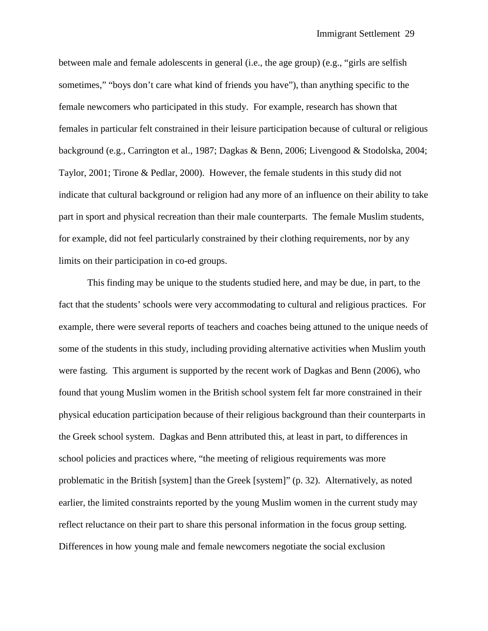between male and female adolescents in general (i.e., the age group) (e.g., "girls are selfish sometimes," "boys don't care what kind of friends you have"), than anything specific to the female newcomers who participated in this study. For example, research has shown that females in particular felt constrained in their leisure participation because of cultural or religious background (e.g., Carrington et al., 1987; Dagkas & Benn, 2006; Livengood & Stodolska, 2004; Taylor, 2001; Tirone & Pedlar, 2000). However, the female students in this study did not indicate that cultural background or religion had any more of an influence on their ability to take part in sport and physical recreation than their male counterparts. The female Muslim students, for example, did not feel particularly constrained by their clothing requirements, nor by any limits on their participation in co-ed groups.

This finding may be unique to the students studied here, and may be due, in part, to the fact that the students' schools were very accommodating to cultural and religious practices. For example, there were several reports of teachers and coaches being attuned to the unique needs of some of the students in this study, including providing alternative activities when Muslim youth were fasting. This argument is supported by the recent work of Dagkas and Benn (2006), who found that young Muslim women in the British school system felt far more constrained in their physical education participation because of their religious background than their counterparts in the Greek school system. Dagkas and Benn attributed this, at least in part, to differences in school policies and practices where, "the meeting of religious requirements was more problematic in the British [system] than the Greek [system]" (p. 32). Alternatively, as noted earlier, the limited constraints reported by the young Muslim women in the current study may reflect reluctance on their part to share this personal information in the focus group setting. Differences in how young male and female newcomers negotiate the social exclusion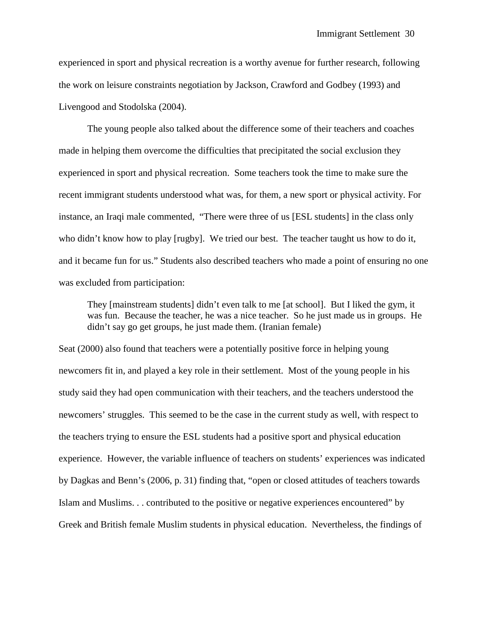experienced in sport and physical recreation is a worthy avenue for further research, following the work on leisure constraints negotiation by Jackson, Crawford and Godbey (1993) and Livengood and Stodolska (2004).

The young people also talked about the difference some of their teachers and coaches made in helping them overcome the difficulties that precipitated the social exclusion they experienced in sport and physical recreation. Some teachers took the time to make sure the recent immigrant students understood what was, for them, a new sport or physical activity. For instance, an Iraqi male commented, "There were three of us [ESL students] in the class only who didn't know how to play [rugby]. We tried our best. The teacher taught us how to do it, and it became fun for us." Students also described teachers who made a point of ensuring no one was excluded from participation:

They [mainstream students] didn't even talk to me [at school]. But I liked the gym, it was fun. Because the teacher, he was a nice teacher. So he just made us in groups. He didn't say go get groups, he just made them. (Iranian female)

Seat (2000) also found that teachers were a potentially positive force in helping young newcomers fit in, and played a key role in their settlement. Most of the young people in his study said they had open communication with their teachers, and the teachers understood the newcomers' struggles. This seemed to be the case in the current study as well, with respect to the teachers trying to ensure the ESL students had a positive sport and physical education experience. However, the variable influence of teachers on students' experiences was indicated by Dagkas and Benn's (2006, p. 31) finding that, "open or closed attitudes of teachers towards Islam and Muslims. . . contributed to the positive or negative experiences encountered" by Greek and British female Muslim students in physical education. Nevertheless, the findings of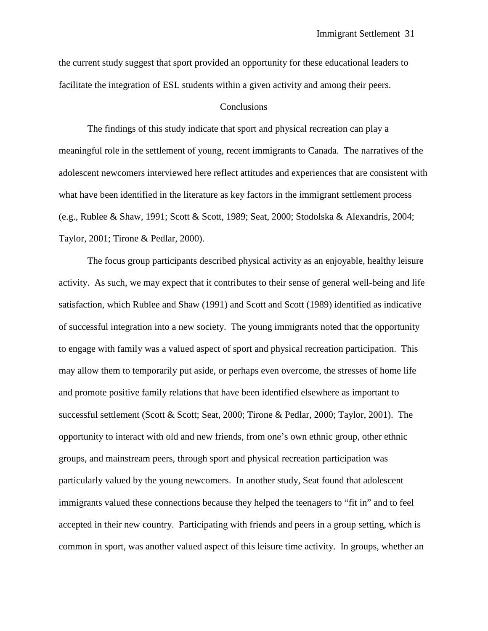the current study suggest that sport provided an opportunity for these educational leaders to facilitate the integration of ESL students within a given activity and among their peers.

# **Conclusions**

The findings of this study indicate that sport and physical recreation can play a meaningful role in the settlement of young, recent immigrants to Canada. The narratives of the adolescent newcomers interviewed here reflect attitudes and experiences that are consistent with what have been identified in the literature as key factors in the immigrant settlement process (e.g., Rublee & Shaw, 1991; Scott & Scott, 1989; Seat, 2000; Stodolska & Alexandris, 2004; Taylor, 2001; Tirone & Pedlar, 2000).

The focus group participants described physical activity as an enjoyable, healthy leisure activity. As such, we may expect that it contributes to their sense of general well-being and life satisfaction, which Rublee and Shaw (1991) and Scott and Scott (1989) identified as indicative of successful integration into a new society. The young immigrants noted that the opportunity to engage with family was a valued aspect of sport and physical recreation participation. This may allow them to temporarily put aside, or perhaps even overcome, the stresses of home life and promote positive family relations that have been identified elsewhere as important to successful settlement (Scott & Scott; Seat, 2000; Tirone & Pedlar, 2000; Taylor, 2001). The opportunity to interact with old and new friends, from one's own ethnic group, other ethnic groups, and mainstream peers, through sport and physical recreation participation was particularly valued by the young newcomers. In another study, Seat found that adolescent immigrants valued these connections because they helped the teenagers to "fit in" and to feel accepted in their new country. Participating with friends and peers in a group setting, which is common in sport, was another valued aspect of this leisure time activity. In groups, whether an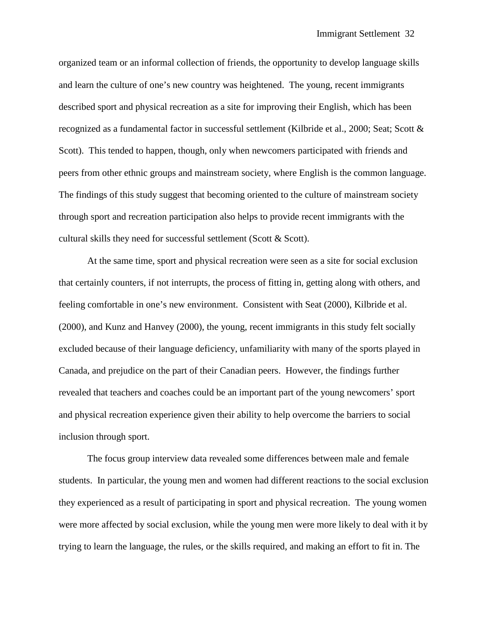organized team or an informal collection of friends, the opportunity to develop language skills and learn the culture of one's new country was heightened. The young, recent immigrants described sport and physical recreation as a site for improving their English, which has been recognized as a fundamental factor in successful settlement (Kilbride et al., 2000; Seat; Scott & Scott). This tended to happen, though, only when newcomers participated with friends and peers from other ethnic groups and mainstream society, where English is the common language. The findings of this study suggest that becoming oriented to the culture of mainstream society through sport and recreation participation also helps to provide recent immigrants with the cultural skills they need for successful settlement (Scott & Scott).

At the same time, sport and physical recreation were seen as a site for social exclusion that certainly counters, if not interrupts, the process of fitting in, getting along with others, and feeling comfortable in one's new environment. Consistent with Seat (2000), Kilbride et al. (2000), and Kunz and Hanvey (2000), the young, recent immigrants in this study felt socially excluded because of their language deficiency, unfamiliarity with many of the sports played in Canada, and prejudice on the part of their Canadian peers. However, the findings further revealed that teachers and coaches could be an important part of the young newcomers' sport and physical recreation experience given their ability to help overcome the barriers to social inclusion through sport.

The focus group interview data revealed some differences between male and female students. In particular, the young men and women had different reactions to the social exclusion they experienced as a result of participating in sport and physical recreation. The young women were more affected by social exclusion, while the young men were more likely to deal with it by trying to learn the language, the rules, or the skills required, and making an effort to fit in. The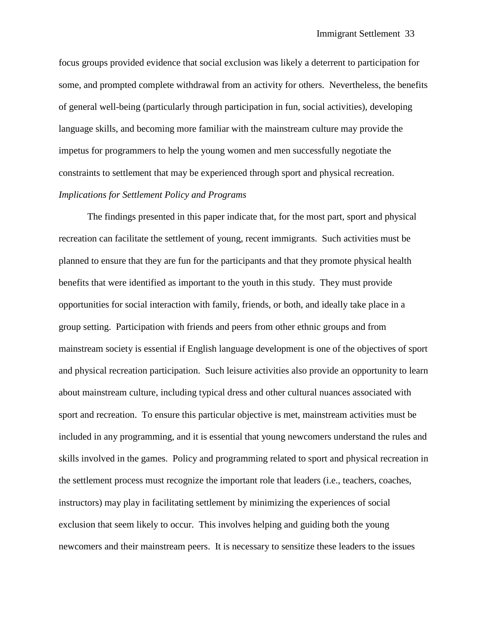focus groups provided evidence that social exclusion was likely a deterrent to participation for some, and prompted complete withdrawal from an activity for others. Nevertheless, the benefits of general well-being (particularly through participation in fun, social activities), developing language skills, and becoming more familiar with the mainstream culture may provide the impetus for programmers to help the young women and men successfully negotiate the constraints to settlement that may be experienced through sport and physical recreation.

# *Implications for Settlement Policy and Programs*

The findings presented in this paper indicate that, for the most part, sport and physical recreation can facilitate the settlement of young, recent immigrants. Such activities must be planned to ensure that they are fun for the participants and that they promote physical health benefits that were identified as important to the youth in this study. They must provide opportunities for social interaction with family, friends, or both, and ideally take place in a group setting. Participation with friends and peers from other ethnic groups and from mainstream society is essential if English language development is one of the objectives of sport and physical recreation participation. Such leisure activities also provide an opportunity to learn about mainstream culture, including typical dress and other cultural nuances associated with sport and recreation. To ensure this particular objective is met, mainstream activities must be included in any programming, and it is essential that young newcomers understand the rules and skills involved in the games. Policy and programming related to sport and physical recreation in the settlement process must recognize the important role that leaders (i.e., teachers, coaches, instructors) may play in facilitating settlement by minimizing the experiences of social exclusion that seem likely to occur. This involves helping and guiding both the young newcomers and their mainstream peers. It is necessary to sensitize these leaders to the issues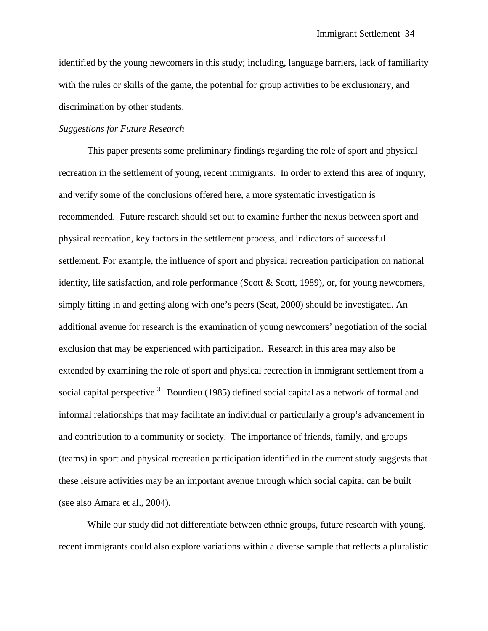identified by the young newcomers in this study; including, language barriers, lack of familiarity with the rules or skills of the game, the potential for group activities to be exclusionary, and discrimination by other students.

## *Suggestions for Future Research*

This paper presents some preliminary findings regarding the role of sport and physical recreation in the settlement of young, recent immigrants. In order to extend this area of inquiry, and verify some of the conclusions offered here, a more systematic investigation is recommended. Future research should set out to examine further the nexus between sport and physical recreation, key factors in the settlement process, and indicators of successful settlement. For example, the influence of sport and physical recreation participation on national identity, life satisfaction, and role performance (Scott & Scott, 1989), or, for young newcomers, simply fitting in and getting along with one's peers (Seat, 2000) should be investigated. An additional avenue for research is the examination of young newcomers' negotiation of the social exclusion that may be experienced with participation. Research in this area may also be extended by examining the role of sport and physical recreation in immigrant settlement from a social capital perspective.<sup>3</sup> Bourdieu (1985) defined social capital as a network of formal and informal relationships that may facilitate an individual or particularly a group's advancement in and contribution to a community or society. The importance of friends, family, and groups (teams) in sport and physical recreation participation identified in the current study suggests that these leisure activities may be an important avenue through which social capital can be built (see also Amara et al., 2004).

While our study did not differentiate between ethnic groups, future research with young, recent immigrants could also explore variations within a diverse sample that reflects a pluralistic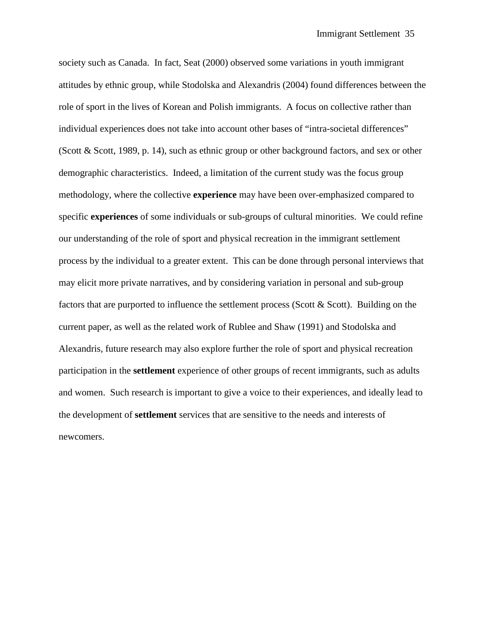society such as Canada. In fact, Seat (2000) observed some variations in youth immigrant attitudes by ethnic group, while Stodolska and Alexandris (2004) found differences between the role of sport in the lives of Korean and Polish immigrants. A focus on collective rather than individual experiences does not take into account other bases of "intra-societal differences" (Scott & Scott, 1989, p. 14), such as ethnic group or other background factors, and sex or other demographic characteristics. Indeed, a limitation of the current study was the focus group methodology, where the collective **experience** may have been over-emphasized compared to specific **experiences** of some individuals or sub-groups of cultural minorities. We could refine our understanding of the role of sport and physical recreation in the immigrant settlement process by the individual to a greater extent. This can be done through personal interviews that may elicit more private narratives, and by considering variation in personal and sub-group factors that are purported to influence the settlement process (Scott  $\&$  Scott). Building on the current paper, as well as the related work of Rublee and Shaw (1991) and Stodolska and Alexandris, future research may also explore further the role of sport and physical recreation participation in the **settlement** experience of other groups of recent immigrants, such as adults and women. Such research is important to give a voice to their experiences, and ideally lead to the development of **settlement** services that are sensitive to the needs and interests of newcomers.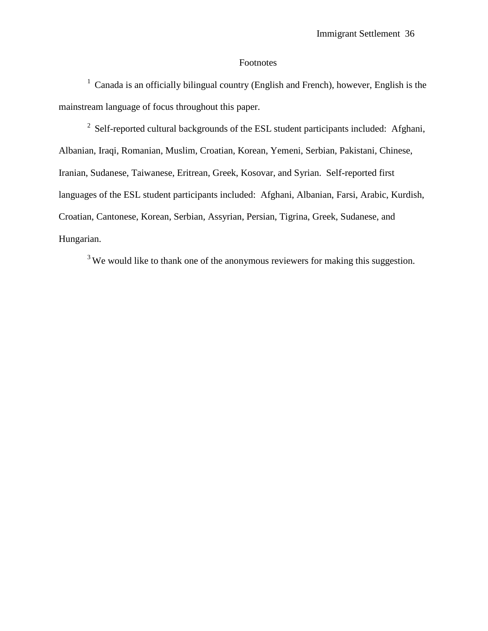### Footnotes

 $1$  Canada is an officially bilingual country (English and French), however, English is the mainstream language of focus throughout this paper.

<sup>2</sup> Self-reported cultural backgrounds of the ESL student participants included: Afghani, Albanian, Iraqi, Romanian, Muslim, Croatian, Korean, Yemeni, Serbian, Pakistani, Chinese, Iranian, Sudanese, Taiwanese, Eritrean, Greek, Kosovar, and Syrian. Self-reported first languages of the ESL student participants included: Afghani, Albanian, Farsi, Arabic, Kurdish, Croatian, Cantonese, Korean, Serbian, Assyrian, Persian, Tigrina, Greek, Sudanese, and Hungarian.

 $3$  We would like to thank one of the anonymous reviewers for making this suggestion.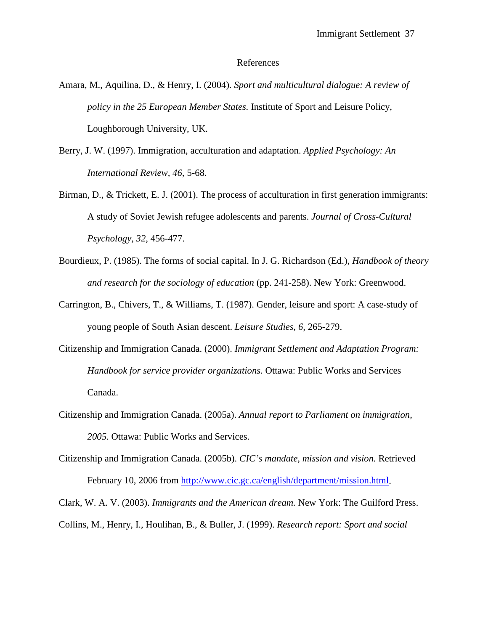#### References

- Amara, M., Aquilina, D., & Henry, I. (2004). *Sport and multicultural dialogue: A review of policy in the 25 European Member States.* Institute of Sport and Leisure Policy, Loughborough University, UK.
- Berry, J. W. (1997). Immigration, acculturation and adaptation. *Applied Psychology: An International Review, 46,* 5-68.
- Birman, D., & Trickett, E. J. (2001). The process of acculturation in first generation immigrants: A study of Soviet Jewish refugee adolescents and parents. *Journal of Cross-Cultural Psychology, 32,* 456-477.
- Bourdieux, P. (1985). The forms of social capital. In J. G. Richardson (Ed.), *Handbook of theory and research for the sociology of education* (pp. 241-258). New York: Greenwood.
- Carrington, B., Chivers, T., & Williams, T. (1987). Gender, leisure and sport: A case-study of young people of South Asian descent. *Leisure Studies, 6,* 265-279.
- Citizenship and Immigration Canada. (2000). *Immigrant Settlement and Adaptation Program: Handbook for service provider organizations.* Ottawa: Public Works and Services Canada.
- Citizenship and Immigration Canada. (2005a). *Annual report to Parliament on immigration, 2005*. Ottawa: Public Works and Services.
- Citizenship and Immigration Canada. (2005b). *CIC's mandate, mission and vision.* Retrieved February 10, 2006 from [http://www.cic.gc.ca/english/department/mission.html.](http://www.cic.gc.ca/english/department/mission.html)

Clark, W. A. V. (2003). *Immigrants and the American dream.* New York: The Guilford Press.

Collins, M., Henry, I., Houlihan, B., & Buller, J. (1999). *Research report: Sport and social*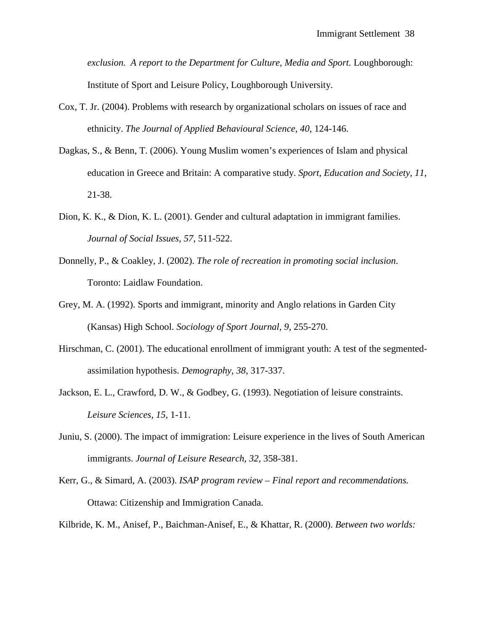*exclusion. A report to the Department for Culture, Media and Sport.* Loughborough: Institute of Sport and Leisure Policy, Loughborough University.

- Cox, T. Jr. (2004). Problems with research by organizational scholars on issues of race and ethnicity. *The Journal of Applied Behavioural Science, 40*, 124-146.
- Dagkas, S., & Benn, T. (2006). Young Muslim women's experiences of Islam and physical education in Greece and Britain: A comparative study. *Sport, Education and Society, 11,* 21-38.
- Dion, K. K., & Dion, K. L. (2001). Gender and cultural adaptation in immigrant families. *Journal of Social Issues, 57,* 511-522.
- Donnelly, P., & Coakley, J. (2002). *The role of recreation in promoting social inclusion*. Toronto: Laidlaw Foundation.
- Grey, M. A. (1992). Sports and immigrant, minority and Anglo relations in Garden City (Kansas) High School. *Sociology of Sport Journal, 9,* 255-270.
- Hirschman, C. (2001). The educational enrollment of immigrant youth: A test of the segmentedassimilation hypothesis. *Demography, 38,* 317-337.
- Jackson, E. L., Crawford, D. W., & Godbey, G. (1993). Negotiation of leisure constraints. *Leisure Sciences, 15,* 1-11.
- Juniu, S. (2000). The impact of immigration: Leisure experience in the lives of South American immigrants. *Journal of Leisure Research, 32,* 358-381.
- Kerr, G., & Simard, A. (2003). *ISAP program review – Final report and recommendations.* Ottawa: Citizenship and Immigration Canada.
- Kilbride, K. M., Anisef, P., Baichman-Anisef, E., & Khattar, R. (2000). *Between two worlds:*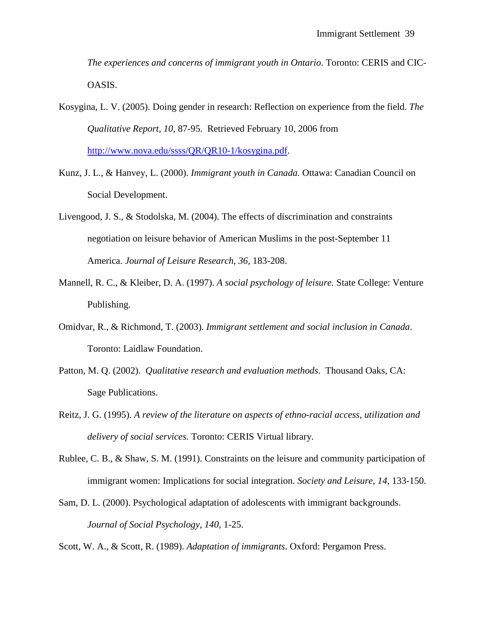*The experiences and concerns of immigrant youth in Ontario*. Toronto: CERIS and CIC-OASIS.

Kosygina, L. V. (2005). Doing gender in research: Reflection on experience from the field. *The Qualitative Report, 10*, 87-95. Retrieved February 10, 2006 from [http://www.nova.edu/ssss/QR/QR10-1/kosygina.pdf.](http://www.nova.edu/ssss/QR/QR10-1/kosygina.pdf)

- Kunz, J. L., & Hanvey, L. (2000). *Immigrant youth in Canada.* Ottawa: Canadian Council on Social Development.
- Livengood, J. S., & Stodolska, M. (2004). The effects of discrimination and constraints negotiation on leisure behavior of American Muslims in the post-September 11 America. *Journal of Leisure Research, 36,* 183-208.
- Mannell, R. C., & Kleiber, D. A. (1997). *A social psychology of leisure.* State College: Venture Publishing.
- Omidvar, R., & Richmond, T. (2003). *Immigrant settlement and social inclusion in Canada*. Toronto: Laidlaw Foundation.
- Patton, M. Q. (2002). *Qualitative research and evaluation methods*. Thousand Oaks, CA: Sage Publications.
- Reitz, J. G. (1995). *A review of the literature on aspects of ethno-racial access, utilization and delivery of social services.* Toronto: CERIS Virtual library.
- Rublee, C. B., & Shaw, S. M. (1991). Constraints on the leisure and community participation of immigrant women: Implications for social integration. *Society and Leisure, 14,* 133-150.
- Sam, D. L. (2000). Psychological adaptation of adolescents with immigrant backgrounds. *Journal of Social Psychology, 140,* 1-25.

Scott, W. A., & Scott, R. (1989). *Adaptation of immigrants*. Oxford: Pergamon Press.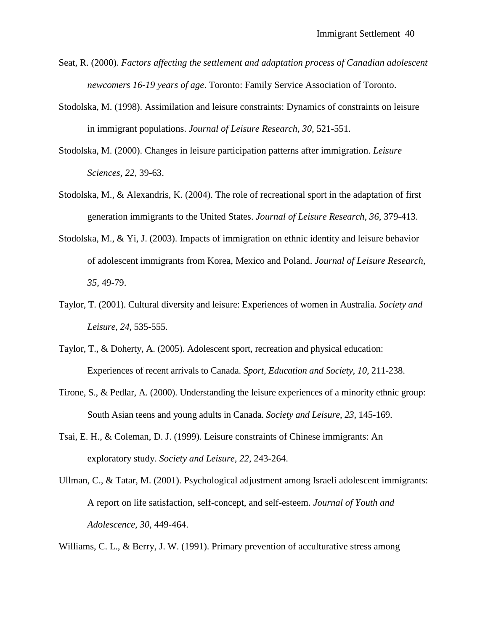- Seat, R. (2000). *Factors affecting the settlement and adaptation process of Canadian adolescent newcomers 16-19 years of age*. Toronto: Family Service Association of Toronto.
- Stodolska, M. (1998). Assimilation and leisure constraints: Dynamics of constraints on leisure in immigrant populations. *Journal of Leisure Research, 30,* 521-551.
- Stodolska, M. (2000). Changes in leisure participation patterns after immigration. *Leisure Sciences, 22,* 39-63.
- Stodolska, M., & Alexandris, K. (2004). The role of recreational sport in the adaptation of first generation immigrants to the United States. *Journal of Leisure Research, 36*, 379-413.
- Stodolska, M., & Yi, J. (2003). Impacts of immigration on ethnic identity and leisure behavior of adolescent immigrants from Korea, Mexico and Poland. *Journal of Leisure Research, 35,* 49-79.
- Taylor, T. (2001). Cultural diversity and leisure: Experiences of women in Australia. *Society and Leisure, 24,* 535-555.
- Taylor, T., & Doherty, A. (2005). Adolescent sport, recreation and physical education: Experiences of recent arrivals to Canada. *Sport, Education and Society, 10,* 211-238.
- Tirone, S., & Pedlar, A. (2000). Understanding the leisure experiences of a minority ethnic group: South Asian teens and young adults in Canada. *Society and Leisure*, *23*, 145-169.
- Tsai, E. H., & Coleman, D. J. (1999). Leisure constraints of Chinese immigrants: An exploratory study. *Society and Leisure, 22*, 243-264.
- Ullman, C., & Tatar, M. (2001). Psychological adjustment among Israeli adolescent immigrants: A report on life satisfaction, self-concept, and self-esteem. *Journal of Youth and Adolescence, 30,* 449-464.

Williams, C. L., & Berry, J. W. (1991). Primary prevention of acculturative stress among